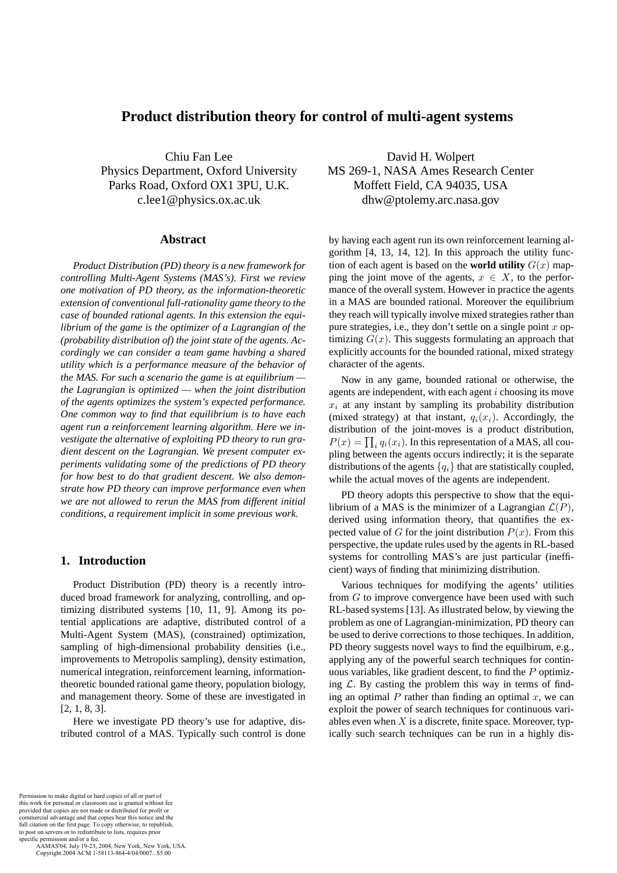# **Product distribution theory for control of multi-agent systems**

Chiu Fan Lee Physics Department, Oxford University Parks Road, Oxford OX1 3PU, U.K. c.lee1@physics.ox.ac.uk

# **Abstract**

*Product Distribution (PD) theory is a new framework for controlling Multi-Agent Systems (MAS's). First we review one motivation of PD theory, as the information-theoretic extension of conventional full-rationality game theory to the case of bounded rational agents. In this extension the equilibrium of the game is the optimizer of a Lagrangian of the (probability distribution of) the joint state of the agents. Accordingly we can consider a team game havbing a shared utility which is a performance measure of the behavior of the MAS. For such a scenario the game is at equilibrium the Lagrangian is optimized — when the joint distribution of the agents optimizes the system's expected performance. One common way to find that equilibrium is to have each agent run a reinforcement learning algorithm. Here we investigate the alternative of exploiting PD theory to run gradient descent on the Lagrangian. We present computer experiments validating some of the predictions of PD theory for how best to do that gradient descent. We also demonstrate how PD theory can improve performance even when we are not allowed to rerun the MAS from different initial conditions, a requirement implicit in some previous work.*

### **1. Introduction**

Product Distribution (PD) theory is a recently introduced broad framework for analyzing, controlling, and optimizing distributed systems [10, 11, 9]. Among its potential applications are adaptive, distributed control of a Multi-Agent System (MAS), (constrained) optimization, sampling of high-dimensional probability densities (i.e., improvements to Metropolis sampling), density estimation, numerical integration, reinforcement learning, informationtheoretic bounded rational game theory, population biology, and management theory. Some of these are investigated in [2, 1, 8, 3].

Here we investigate PD theory's use for adaptive, distributed control of a MAS. Typically such control is done

Permission to make digital or hard copies of all or part of this work for personal or classroom use is granted without fee provided that copies are not made or distributed for profit or commercial advantage and that copies bear this notice and the full citation on the first page. To copy otherwise, to republish, to post on servers or to redistribute to lists, requires prior specific permission and/or a fee.

 AAMAS'04, July 19-23, 2004, New York, New York, USA. Copyright 2004 ACM 1-58113-864-4/04/0007...\$5.00

David H. Wolpert MS 269-1, NASA Ames Research Center Moffett Field, CA 94035, USA dhw@ptolemy.arc.nasa.gov

by having each agent run its own reinforcement learning algorithm [4, 13, 14, 12]. In this approach the utility function of each agent is based on the **world utility**  $G(x)$  mapping the joint move of the agents,  $x \in X$ , to the performance of the overall system. However in practice the agents in a MAS are bounded rational. Moreover the equilibrium they reach will typically involve mixed strategies rather than pure strategies, i.e., they don't settle on a single point  $x$  optimizing  $G(x)$ . This suggests formulating an approach that explicitly accounts for the bounded rational, mixed strategy character of the agents.

Now in any game, bounded rational or otherwise, the agents are independent, with each agent i choosing its move  $x_i$  at any instant by sampling its probability distribution (mixed strategy) at that instant,  $q_i(x_i)$ . Accordingly, the distribution of the joint-moves is a product distribution, distribution of the joint-moves is a product distribution,<br> $P(x) = \prod_i q_i(x_i)$ . In this representation of a MAS, all coupling between the agents occurs indirectly; it is the separate distributions of the agents  ${q_i}$  that are statistically coupled, while the actual moves of the agents are independent.

PD theory adopts this perspective to show that the equilibrium of a MAS is the minimizer of a Lagrangian  $\mathcal{L}(P)$ , derived using information theory, that quantifies the expected value of G for the joint distribution  $P(x)$ . From this perspective, the update rules used by the agents in RL-based systems for controlling MAS's are just particular (inefficient) ways of finding that minimizing distribution.

Various techniques for modifying the agents' utilities from G to improve convergence have been used with such RL-based systems [13]. As illustrated below, by viewing the problem as one of Lagrangian-minimization, PD theory can be used to derive corrections to those techiques. In addition, PD theory suggests novel ways to find the equilbirum, e.g., applying any of the powerful search techniques for continuous variables, like gradient descent, to find the  $P$  optimizing  $\mathcal L$ . By casting the problem this way in terms of finding an optimal  $P$  rather than finding an optimal  $x$ , we can exploit the power of search techniques for continuous variables even when  $X$  is a discrete, finite space. Moreover, typically such search techniques can be run in a highly dis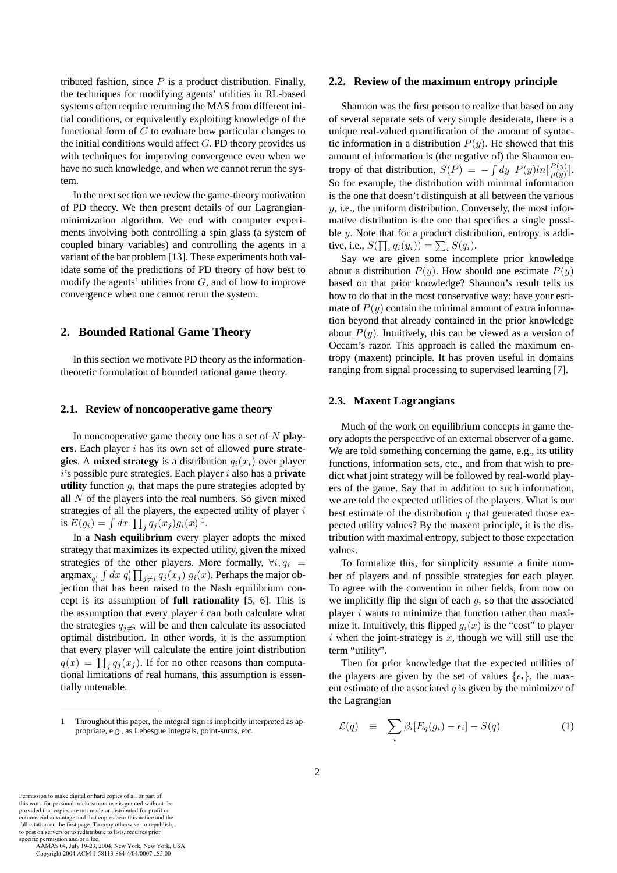tributed fashion, since  $P$  is a product distribution. Finally, the techniques for modifying agents' utilities in RL-based systems often require rerunning the MAS from different initial conditions, or equivalently exploiting knowledge of the functional form of  $G$  to evaluate how particular changes to the initial conditions would affect  $G$ . PD theory provides us with techniques for improving convergence even when we have no such knowledge, and when we cannot rerun the system.

In the next section we review the game-theory motivation of PD theory. We then present details of our Lagrangianminimization algorithm. We end with computer experiments involving both controlling a spin glass (a system of coupled binary variables) and controlling the agents in a variant of the bar problem [13]. These experiments both validate some of the predictions of PD theory of how best to modify the agents' utilities from G, and of how to improve convergence when one cannot rerun the system.

#### **2. Bounded Rational Game Theory**

In this section we motivate PD theory as the informationtheoretic formulation of bounded rational game theory.

#### **2.1. Review of noncooperative game theory**

In noncooperative game theory one has a set of N **players**. Each player i has its own set of allowed **pure strategies**. A **mixed strategy** is a distribution  $q_i(x_i)$  over player i's possible pure strategies. Each player i also has a **private utility** function  $q_i$  that maps the pure strategies adopted by all  $N$  of the players into the real numbers. So given mixed strategies of all the players, the expected utility of player  $i$ strategies of all the players, the exp<br>is  $E(g_i) = \int dx \prod_j q_j(x_j)g_i(x)^{-1}$ .

In a **Nash equilibrium** every player adopts the mixed strategy that maximizes its expected utility, given the mixed strategies of the other players. More formally,  $\forall i, q_i$  = strategies of the other players. More formally,  $\forall i, q_i$  =<br>argmax<sub>q'<sub>i</sub></sub>  $\int dx q'_i \prod_{j \neq i} q_j(x_j) g_i(x)$ . Perhaps the major objection that has been raised to the Nash equilibrium concept is its assumption of **full rationality** [5, 6]. This is the assumption that every player  $i$  can both calculate what the strategies  $q_{i\neq i}$  will be and then calculate its associated optimal distribution. In other words, it is the assumption that every player will calculate the entire joint distribution that every player will calculate the entire joint distribution  $q(x) = \prod_j q_j(x_j)$ . If for no other reasons than computational limitations of real humans, this assumption is essentially untenable.

#### **2.2. Review of the maximum entropy principle**

Shannon was the first person to realize that based on any of several separate sets of very simple desiderata, there is a unique real-valued quantification of the amount of syntactic information in a distribution  $P(y)$ . He showed that this amount of information is (the negative of) the Shannon entropy of that distribution,  $S(P) = -\int dy P(y) ln[\frac{P(y)}{\mu(y)}].$ So for example, the distribution with minimal information is the one that doesn't distinguish at all between the various  $y$ , i.e., the uniform distribution. Conversely, the most informative distribution is the one that specifies a single possible y. Note that for a product distribution, entropy is addible y. Note that for a product distribution, i.e.,  $S(\prod_i q_i(y_i)) = \sum_i S(q_i)$ .

Say we are given some incomplete prior knowledge about a distribution  $P(y)$ . How should one estimate  $P(y)$ based on that prior knowledge? Shannon's result tells us how to do that in the most conservative way: have your estimate of  $P(y)$  contain the minimal amount of extra information beyond that already contained in the prior knowledge about  $P(y)$ . Intuitively, this can be viewed as a version of Occam's razor. This approach is called the maximum entropy (maxent) principle. It has proven useful in domains ranging from signal processing to supervised learning [7].

#### **2.3. Maxent Lagrangians**

Much of the work on equilibrium concepts in game theory adopts the perspective of an external observer of a game. We are told something concerning the game, e.g., its utility functions, information sets, etc., and from that wish to predict what joint strategy will be followed by real-world players of the game. Say that in addition to such information, we are told the expected utilities of the players. What is our best estimate of the distribution  $q$  that generated those expected utility values? By the maxent principle, it is the distribution with maximal entropy, subject to those expectation values.

To formalize this, for simplicity assume a finite number of players and of possible strategies for each player. To agree with the convention in other fields, from now on we implicitly flip the sign of each  $q_i$  so that the associated player  $i$  wants to minimize that function rather than maximize it. Intuitively, this flipped  $q_i(x)$  is the "cost" to player  $i$  when the joint-strategy is  $x$ , though we will still use the term "utility".

Then for prior knowledge that the expected utilities of the players are given by the set of values  $\{\epsilon_i\}$ , the maxent estimate of the associated  $q$  is given by the minimizer of the Lagrangian

$$
\mathcal{L}(q) \equiv \sum_{i} \beta_i [E_q(g_i) - \epsilon_i] - S(q) \tag{1}
$$

Permission to make digital or hard copies of all or part of this work for personal or classroom use is granted without fee provided that copies are not made or distributed for profit or commercial advantage and that copies bear this notice and the full citation on the first page. To copy otherwise, to republish, to post on servers or to redistribute to lists, requires prior specific permission and/or a fee.

<sup>1</sup> Throughout this paper, the integral sign is implicitly interpreted as appropriate, e.g., as Lebesgue integrals, point-sums, etc.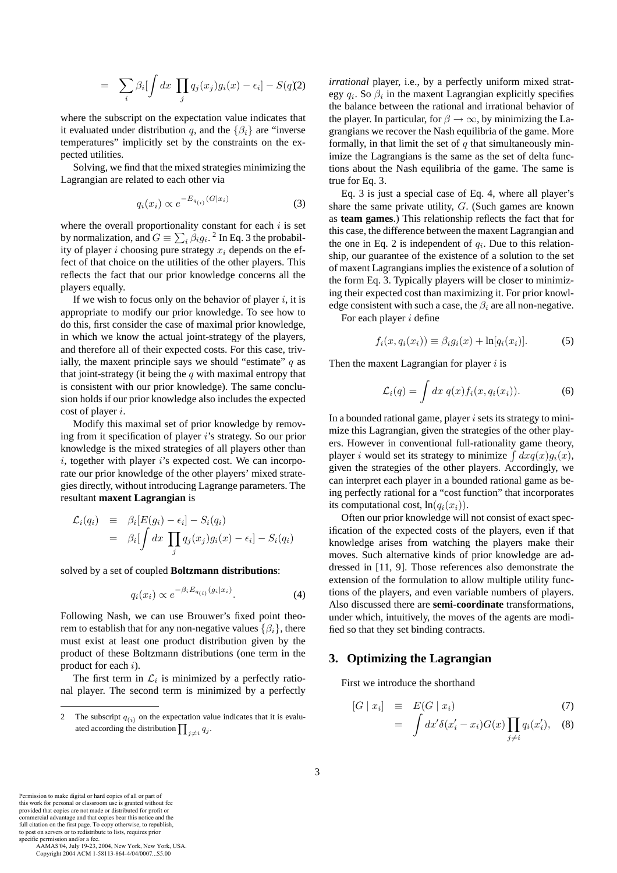$$
= \sum_{i} \beta_i [\int dx \prod_{j} q_j(x_j) g_i(x) - \epsilon_i] - S(q\hat{y})
$$

where the subscript on the expectation value indicates that it evaluated under distribution q, and the  $\{\beta_i\}$  are "inverse" temperatures" implicitly set by the constraints on the expected utilities.

Solving, we find that the mixed strategies minimizing the Lagrangian are related to each other via

$$
q_i(x_i) \propto e^{-E_{q_{(i)}}(G|x_i)}\tag{3}
$$

where the overall proportionality constant for each  $i$  is set where the overall proportionality constant for each *i* is set<br>by normalization, and  $G \equiv \sum_i \beta_i g_i$ . <sup>2</sup> In Eq. 3 the probability of player *i* choosing pure strategy  $x_i$  depends on the effect of that choice on the utilities of the other players. This reflects the fact that our prior knowledge concerns all the players equally.

If we wish to focus only on the behavior of player  $i$ , it is appropriate to modify our prior knowledge. To see how to do this, first consider the case of maximal prior knowledge, in which we know the actual joint-strategy of the players, and therefore all of their expected costs. For this case, trivially, the maxent principle says we should "estimate"  $q$  as that joint-strategy (it being the  $q$  with maximal entropy that is consistent with our prior knowledge). The same conclusion holds if our prior knowledge also includes the expected cost of player i.

Modify this maximal set of prior knowledge by removing from it specification of player i's strategy. So our prior knowledge is the mixed strategies of all players other than  $i$ , together with player  $i$ 's expected cost. We can incorporate our prior knowledge of the other players' mixed strategies directly, without introducing Lagrange parameters. The resultant **maxent Lagrangian** is

$$
\mathcal{L}_i(q_i) \equiv \beta_i [E(g_i) - \epsilon_i] - S_i(q_i) \n= \beta_i [\int dx \prod_j q_j(x_j) g_i(x) - \epsilon_i] - S_i(q_i)
$$

solved by a set of coupled **Boltzmann distributions**:

$$
q_i(x_i) \propto e^{-\beta_i E_{q_{(i)}}(g_i|x_i)}.\tag{4}
$$

Following Nash, we can use Brouwer's fixed point theorem to establish that for any non-negative values  $\{\beta_i\}$ , there must exist at least one product distribution given by the product of these Boltzmann distributions (one term in the product for each  $i$ ).

The first term in  $\mathcal{L}_i$  is minimized by a perfectly rational player. The second term is minimized by a perfectly *irrational* player, i.e., by a perfectly uniform mixed strategy  $q_i$ . So  $\beta_i$  in the maxent Lagrangian explicitly specifies the balance between the rational and irrational behavior of the player. In particular, for  $\beta \rightarrow \infty$ , by minimizing the Lagrangians we recover the Nash equilibria of the game. More formally, in that limit the set of  $q$  that simultaneously minimize the Lagrangians is the same as the set of delta functions about the Nash equilibria of the game. The same is true for Eq. 3.

Eq. 3 is just a special case of Eq. 4, where all player's share the same private utility, G. (Such games are known as **team games**.) This relationship reflects the fact that for this case, the difference between the maxent Lagrangian and the one in Eq. 2 is independent of  $q_i$ . Due to this relationship, our guarantee of the existence of a solution to the set of maxent Lagrangians implies the existence of a solution of the form Eq. 3. Typically players will be closer to minimizing their expected cost than maximizing it. For prior knowledge consistent with such a case, the  $\beta_i$  are all non-negative.

For each player  $i$  define

$$
f_i(x, q_i(x_i)) \equiv \beta_i g_i(x) + \ln[q_i(x_i)]. \tag{5}
$$

Then the maxent Lagrangian for player  $i$  is

$$
\mathcal{L}_i(q) = \int dx \; q(x) f_i(x, q_i(x_i)). \tag{6}
$$

In a bounded rational game, player  $i$  sets its strategy to minimize this Lagrangian, given the strategies of the other players. However in conventional full-rationality game theory, player i would set its strategy to minimize  $\int dxq(x)q_i(x)$ , given the strategies of the other players. Accordingly, we can interpret each player in a bounded rational game as being perfectly rational for a "cost function" that incorporates its computational cost,  $ln(q_i(x_i))$ .

Often our prior knowledge will not consist of exact specification of the expected costs of the players, even if that knowledge arises from watching the players make their moves. Such alternative kinds of prior knowledge are addressed in [11, 9]. Those references also demonstrate the extension of the formulation to allow multiple utility functions of the players, and even variable numbers of players. Also discussed there are **semi-coordinate** transformations, under which, intuitively, the moves of the agents are modified so that they set binding contracts.

# **3. Optimizing the Lagrangian**

First we introduce the shorthand

$$
[G \mid x_i] \equiv E(G \mid x_i) \tag{7}
$$
  

$$
= \int dx' \delta(x'_i - x_i) G(x) \prod_{j \neq i} q_i(x'_i), \tag{8}
$$

Permission to make digital or hard copies of all or part of this work for personal or classroom use is granted without fee provided that copies are not made or distributed for profit or commercial advantage and that copies bear this notice and the full citation on the first page. To copy otherwise, to republish, to post on servers or to redistribute to lists, requires prior specific permission and/or a fee.

<sup>2</sup> The subscript  $q(i)$  on the expectation value indicates that it is evalu-The subscript  $q_{(i)}$  on the expectation value ated according the distribution  $\prod_{j \neq i} q_j$ .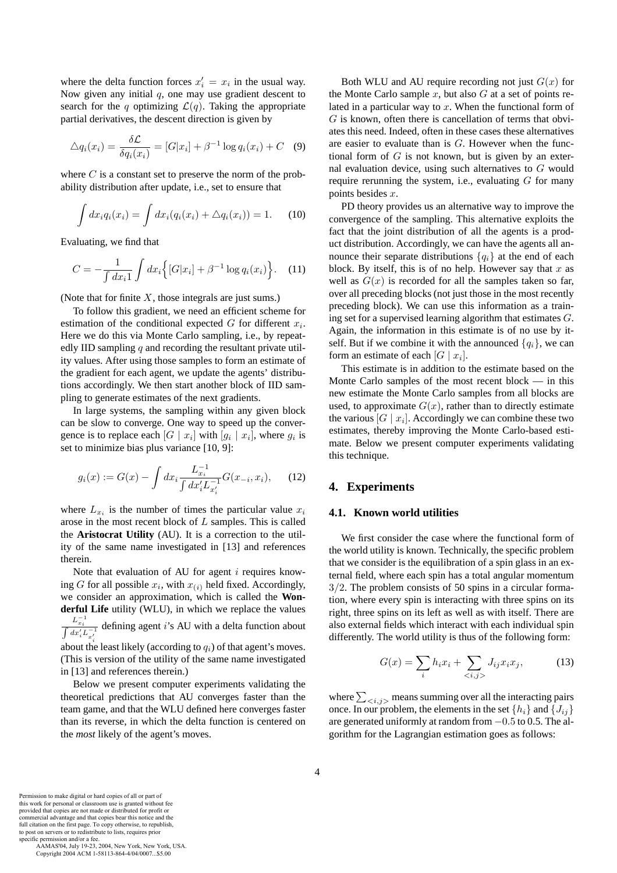where the delta function forces  $x_i' = x_i$  in the usual way. Now given any initial  $q$ , one may use gradient descent to search for the q optimizing  $\mathcal{L}(q)$ . Taking the appropriate partial derivatives, the descent direction is given by

$$
\Delta q_i(x_i) = \frac{\delta \mathcal{L}}{\delta q_i(x_i)} = [G|x_i] + \beta^{-1} \log q_i(x_i) + C \quad (9)
$$

where  $C$  is a constant set to preserve the norm of the probability distribution after update, i.e., set to ensure that

$$
\int dx_i q_i(x_i) = \int dx_i (q_i(x_i) + \Delta q_i(x_i)) = 1.
$$
 (10)

Evaluating, we find that

$$
C = -\frac{1}{\int dx_i 1} \int dx_i \Big\{ [G|x_i] + \beta^{-1} \log q_i(x_i) \Big\}.
$$
 (11)

(Note that for finite  $X$ , those integrals are just sums.)

To follow this gradient, we need an efficient scheme for estimation of the conditional expected  $G$  for different  $x_i$ . Here we do this via Monte Carlo sampling, i.e., by repeatedly IID sampling  $q$  and recording the resultant private utility values. After using those samples to form an estimate of the gradient for each agent, we update the agents' distributions accordingly. We then start another block of IID sampling to generate estimates of the next gradients.

In large systems, the sampling within any given block can be slow to converge. One way to speed up the convergence is to replace each  $[G | x_i]$  with  $[g_i | x_i]$ , where  $g_i$  is set to minimize bias plus variance [10, 9]:

$$
g_i(x) := G(x) - \int dx_i \frac{L_{x_i}^{-1}}{\int dx_i' L_{x_i'}^{-1}} G(x_{-i}, x_i), \qquad (12)
$$

where  $L_{x_i}$  is the number of times the particular value  $x_i$ arose in the most recent block of  $L$  samples. This is called the **Aristocrat Utility** (AU). It is a correction to the utility of the same name investigated in [13] and references therein.

Note that evaluation of AU for agent  $i$  requires knowing G for all possible  $x_i$ , with  $x_{(i)}$  held fixed. Accordingly, we consider an approximation, which is called the **Wonderful Life** utility (WLU), in which we replace the values  $L_{x_i}^{-1}$  $\frac{L_{x_i}}{\int dx'_i L_{x'_i}^{-1}}$ defining agent  $i$ 's AU with a delta function about

about the least likely (according to  $q_i$ ) of that agent's moves. (This is version of the utility of the same name investigated in [13] and references therein.)

Below we present computer experiments validating the theoretical predictions that AU converges faster than the team game, and that the WLU defined here converges faster than its reverse, in which the delta function is centered on the *most* likely of the agent's moves.

Both WLU and AU require recording not just  $G(x)$  for the Monte Carlo sample  $x$ , but also  $G$  at a set of points related in a particular way to  $x$ . When the functional form of  $G$  is known, often there is cancellation of terms that obviates this need. Indeed, often in these cases these alternatives are easier to evaluate than is G. However when the functional form of  $G$  is not known, but is given by an external evaluation device, using such alternatives to G would require rerunning the system, i.e., evaluating  $G$  for many points besides  $x$ .

PD theory provides us an alternative way to improve the convergence of the sampling. This alternative exploits the fact that the joint distribution of all the agents is a product distribution. Accordingly, we can have the agents all announce their separate distributions  ${q_i}$  at the end of each block. By itself, this is of no help. However say that  $x$  as well as  $G(x)$  is recorded for all the samples taken so far, over all preceding blocks (not just those in the most recently preceding block). We can use this information as a training set for a supervised learning algorithm that estimates G. Again, the information in this estimate is of no use by itself. But if we combine it with the announced  $\{q_i\}$ , we can form an estimate of each  $[G \mid x_i]$ .

This estimate is in addition to the estimate based on the Monte Carlo samples of the most recent block — in this new estimate the Monte Carlo samples from all blocks are used, to approximate  $G(x)$ , rather than to directly estimate the various  $[G | x_i]$ . Accordingly we can combine these two estimates, thereby improving the Monte Carlo-based estimate. Below we present computer experiments validating this technique.

# **4. Experiments**

#### **4.1. Known world utilities**

We first consider the case where the functional form of the world utility is known. Technically, the specific problem that we consider is the equilibration of a spin glass in an external field, where each spin has a total angular momentum 3/2. The problem consists of 50 spins in a circular formation, where every spin is interacting with three spins on its right, three spins on its left as well as with itself. There are also external fields which interact with each individual spin differently. The world utility is thus of the following form:

$$
G(x) = \sum_{i} h_i x_i + \sum_{\langle i,j \rangle} J_{ij} x_i x_j, \tag{13}
$$

where  $\sum_{\langle i,j\rangle}$  means summing over all the interacting pairs once. In our problem, the elements in the set  $\{h_i\}$  and  $\{J_{ij}\}$ are generated uniformly at random from −0.5 to 0.5. The algorithm for the Lagrangian estimation goes as follows:

Permission to make digital or hard copies of all or part of this work for personal or classroom use is granted without fee provided that copies are not made or distributed for profit or commercial advantage and that copies bear this notice and the full citation on the first page. To copy otherwise, to republish, to post on servers or to redistribute to lists, requires prior specific permission and/or a fee.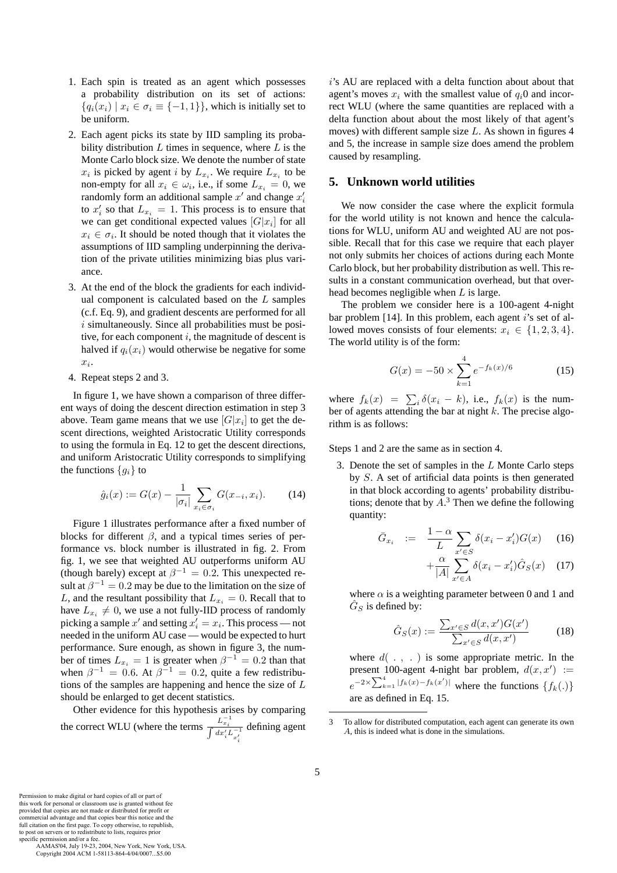- 1. Each spin is treated as an agent which possesses a probability distribution on its set of actions:  ${q_i(x_i) | x_i \in \sigma_i \equiv \{-1,1\}}$ , which is initially set to be uniform.
- 2. Each agent picks its state by IID sampling its probability distribution  $L$  times in sequence, where  $L$  is the Monte Carlo block size. We denote the number of state  $x_i$  is picked by agent i by  $L_{x_i}$ . We require  $L_{x_i}$  to be non-empty for all  $x_i \in \omega_i$ , i.e., if some  $L_{x_i} = 0$ , we randomly form an additional sample  $x'$  and change  $x'_i$ to  $x_i'$  so that  $L_{x_i} = 1$ . This process is to ensure that we can get conditional expected values  $[G]x_i]$  for all  $x_i \in \sigma_i$ . It should be noted though that it violates the assumptions of IID sampling underpinning the derivation of the private utilities minimizing bias plus variance.
- 3. At the end of the block the gradients for each individual component is calculated based on the  $L$  samples (c.f. Eq. 9), and gradient descents are performed for all  $i$  simultaneously. Since all probabilities must be positive, for each component  $i$ , the magnitude of descent is halved if  $q_i(x_i)$  would otherwise be negative for some  $x_i$ .
- 4. Repeat steps 2 and 3.

In figure 1, we have shown a comparison of three different ways of doing the descent direction estimation in step 3 above. Team game means that we use  $[G]x_i]$  to get the descent directions, weighted Aristocratic Utility corresponds to using the formula in Eq. 12 to get the descent directions, and uniform Aristocratic Utility corresponds to simplifying the functions  ${g_i}$  to

$$
\hat{g}_i(x) := G(x) - \frac{1}{|\sigma_i|} \sum_{x_i \in \sigma_i} G(x_{-i}, x_i). \tag{14}
$$

Figure 1 illustrates performance after a fixed number of blocks for different  $\beta$ , and a typical times series of performance vs. block number is illustrated in fig. 2. From fig. 1, we see that weighted AU outperforms uniform AU (though barely) except at  $\beta^{-1} = 0.2$ . This unexpected result at  $\beta^{-1} = 0.2$  may be due to the limitation on the size of L, and the resultant possibility that  $L_{x_i} = 0$ . Recall that to have  $L_{x_i} \neq 0$ , we use a not fully-IID process of randomly picking a sample  $x'$  and setting  $x'_i = x_i$ . This process — not needed in the uniform AU case — would be expected to hurt performance. Sure enough, as shown in figure 3, the number of times  $L_{x_i} = 1$  is greater when  $\beta^{-1} = 0.2$  than that when  $\beta^{-1} = 0.6$ . At  $\beta^{-1} = 0.2$ , quite a few redistributions of the samples are happening and hence the size of L should be enlarged to get decent statistics.

Other evidence for this hypothesis arises by comparing the correct WLU (where the terms  $\frac{L_{x_i}^{-1}}{\int dx_i^{\prime} L_{x_i^{\prime}}^{-1}}$ defining agent

i's AU are replaced with a delta function about about that agent's moves  $x_i$  with the smallest value of  $q_i0$  and incorrect WLU (where the same quantities are replaced with a delta function about about the most likely of that agent's moves) with different sample size  $L$ . As shown in figures  $4$ and 5, the increase in sample size does amend the problem caused by resampling.

# **5. Unknown world utilities**

We now consider the case where the explicit formula for the world utility is not known and hence the calculations for WLU, uniform AU and weighted AU are not possible. Recall that for this case we require that each player not only submits her choices of actions during each Monte Carlo block, but her probability distribution as well. This results in a constant communication overhead, but that overhead becomes negligible when  $L$  is large.

The problem we consider here is a 100-agent 4-night bar problem [14]. In this problem, each agent  $i$ 's set of allowed moves consists of four elements:  $x_i \in \{1, 2, 3, 4\}.$ The world utility is of the form:

$$
G(x) = -50 \times \sum_{k=1}^{4} e^{-f_k(x)/6}
$$
 (15)

where  $f_k(x) = \sum_i \delta(x_i - k)$ , i.e.,  $f_k(x)$  is the number of agents attending the bar at night  $k$ . The precise algorithm is as follows:

Steps 1 and 2 are the same as in section 4.

3. Denote the set of samples in the L Monte Carlo steps by S. A set of artificial data points is then generated in that block according to agents' probability distributions; denote that by  $A<sup>3</sup>$ . Then we define the following quantity:

$$
\bar{G}_{x_i} := \frac{1-\alpha}{L} \sum_{x' \in S} \delta(x_i - x'_i) G(x) \quad (16)
$$

$$
+\frac{\alpha}{|A|}\sum_{x'\in A}^{x'\in B}\delta(x_i-x_i')\hat{G}_S(x) \quad (17)
$$

where  $\alpha$  is a weighting parameter between 0 and 1 and  $\hat{G}_S$  is defined by:

$$
\hat{G}_S(x) := \frac{\sum_{x' \in S} d(x, x') G(x')}{\sum_{x' \in S} d(x, x')}
$$
 (18)

where  $d(\cdot, \cdot)$  is some appropriate metric. In the present 100-agent 4-night bar problem,  $d(x, x') :=$ present 100-agent 4-night bar problem,  $a(x, x) :=$ <br> $e^{-2 \times \sum_{k=1}^{4} |f_k(x) - f_k(x')|}$  where the functions  $\{f_k(.)\}$ are as defined in Eq. 15.

<sup>3</sup> To allow for distributed computation, each agent can generate its own A, this is indeed what is done in the simulations.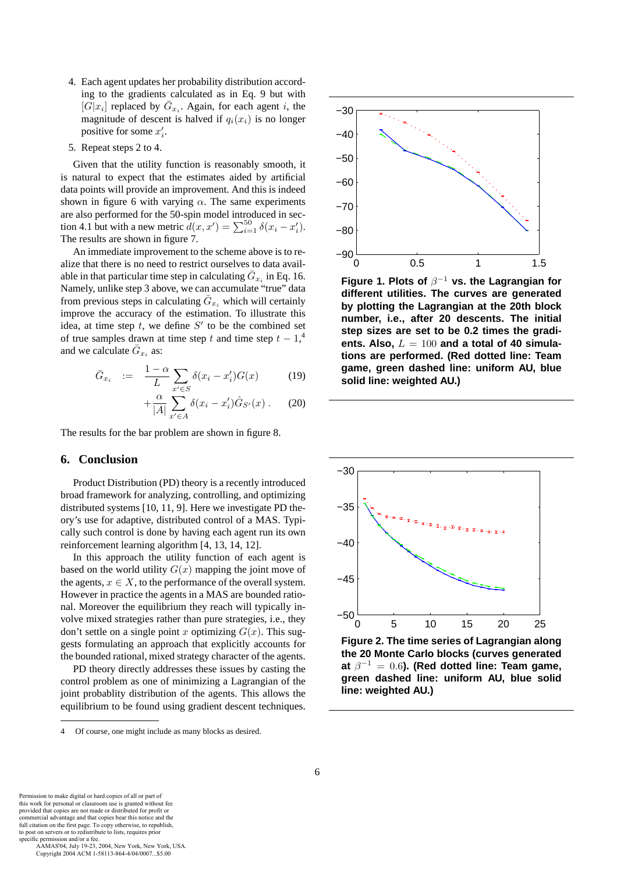- 4. Each agent updates her probability distribution according to the gradients calculated as in Eq. 9 but with  $[G|x_i]$  replaced by  $\bar{G}_{x_i}$ . Again, for each agent i, the magnitude of descent is halved if  $q_i(x_i)$  is no longer positive for some  $x'_i$ .
- 5. Repeat steps 2 to 4.

Given that the utility function is reasonably smooth, it is natural to expect that the estimates aided by artificial data points will provide an improvement. And this is indeed shown in figure 6 with varying  $\alpha$ . The same experiments are also performed for the 50-spin model introduced in secare also performed for the 50-spin model infoduced in section 4.1 but with a new metric  $d(x, x') = \sum_{i=1}^{50} \delta(x_i - x'_i)$ . The results are shown in figure 7.

An immediate improvement to the scheme above is to realize that there is no need to restrict ourselves to data available in that particular time step in calculating  $\bar{G}_{x_i}$  in Eq. 16. Namely, unlike step 3 above, we can accumulate "true" data from previous steps in calculating  $\bar{G}_{x_i}$  which will certainly improve the accuracy of the estimation. To illustrate this idea, at time step  $t$ , we define  $S'$  to be the combined set of true samples drawn at time step t and time step  $t - 1$ ,<sup>4</sup> and we calculate  $G_{x_i}$  as:

$$
\bar{G}_{x_i} := \frac{1-\alpha}{L} \sum_{x' \in S} \delta(x_i - x'_i) G(x) \tag{19}
$$

$$
+\frac{\alpha}{|A|}\sum_{x'\in A}^{x'\in S}\delta(x_i-x_i')\hat{G}_{S'}(x)\ .\qquad (20)
$$

The results for the bar problem are shown in figure 8.

#### **6. Conclusion**

Product Distribution (PD) theory is a recently introduced broad framework for analyzing, controlling, and optimizing distributed systems [10, 11, 9]. Here we investigate PD theory's use for adaptive, distributed control of a MAS. Typically such control is done by having each agent run its own reinforcement learning algorithm [4, 13, 14, 12].

In this approach the utility function of each agent is based on the world utility  $G(x)$  mapping the joint move of the agents,  $x \in X$ , to the performance of the overall system. However in practice the agents in a MAS are bounded rational. Moreover the equilibrium they reach will typically involve mixed strategies rather than pure strategies, i.e., they don't settle on a single point x optimizing  $G(x)$ . This suggests formulating an approach that explicitly accounts for the bounded rational, mixed strategy character of the agents.

PD theory directly addresses these issues by casting the control problem as one of minimizing a Lagrangian of the joint probablity distribution of the agents. This allows the equilibrium to be found using gradient descent techniques.



**Figure 1. Plots of** β<sup>−</sup><sup>1</sup> **vs. the Lagrangian for different utilities. The curves are generated by plotting the Lagrangian at the 20th block number, i.e., after 20 descents. The initial step sizes are set to be 0.2 times the gradi**ents. Also,  $L = 100$  and a total of 40 simula**tions are performed. (Red dotted line: Team game, green dashed line: uniform AU, blue solid line: weighted AU.)**



**Figure 2. The time series of Lagrangian along the 20 Monte Carlo blocks (curves generated** at  $\beta^{-1} = 0.6$ ). (Red dotted line: Team game, **green dashed line: uniform AU, blue solid line: weighted AU.)**

Permission to make digital or hard copies of all or part of this work for personal or classroom use is granted without fee provided that copies are not made or distributed for profit or commercial advantage and that copies bear this notice and the full citation on the first page. To copy otherwise, to republish, to post on servers or to redistribute to lists, requires prior specific permission and/or a fee.

<sup>4</sup> Of course, one might include as many blocks as desired.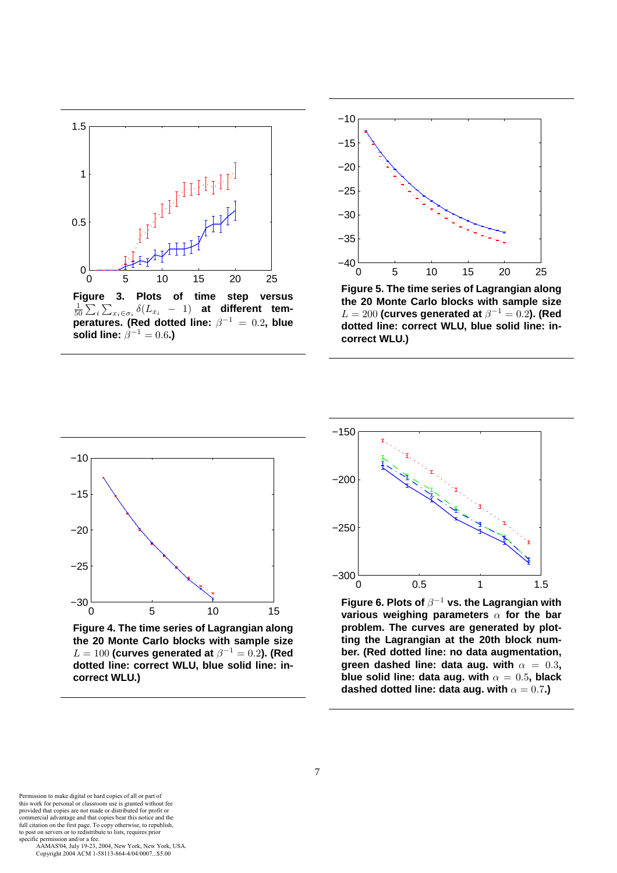

 $\frac{1}{50}\sum_i\sum_{x_i\in\sigma_i}\delta(L_{x_i}~-~1)$  at different tem**peratures. (Red dotted line:** β<sup>−</sup><sup>1</sup> = 0.2**, blue solid line:**  $\beta^{-1} = 0.6$ **.**)



**Figure 5. The time series of Lagrangian along the 20 Monte Carlo blocks with sample size**  $L = 200$  (curves generated at  $\beta^{-1} = 0.2$ ). (Red **dotted line: correct WLU, blue solid line: incorrect WLU.)**



**Figure 4. The time series of Lagrangian along the 20 Monte Carlo blocks with sample size**  $L = 100$  (curves generated at  $\beta^{-1} = 0.2$ ). (Red **dotted line: correct WLU, blue solid line: incorrect WLU.)**



**Figure 6. Plots of** β<sup>−</sup><sup>1</sup> **vs. the Lagrangian with various weighing parameters** α **for the bar problem. The curves are generated by plotting the Lagrangian at the 20th block number. (Red dotted line: no data augmentation,** green dashed line: data aug. with  $\alpha = 0.3$ , **blue solid line: data aug. with**  $\alpha = 0.5$ , **black dashed dotted line: data aug. with**  $\alpha = 0.7$ .)

Permission to make digital or hard copies of all or part of this work for personal or classroom use is granted without fee provided that copies are not made or distributed for profit or commercial advantage and that copies bear this notice and the full citation on the first page. To copy otherwise, to republish, to post on servers or to redistribute to lists, requires prior specific permission and/or a fee.